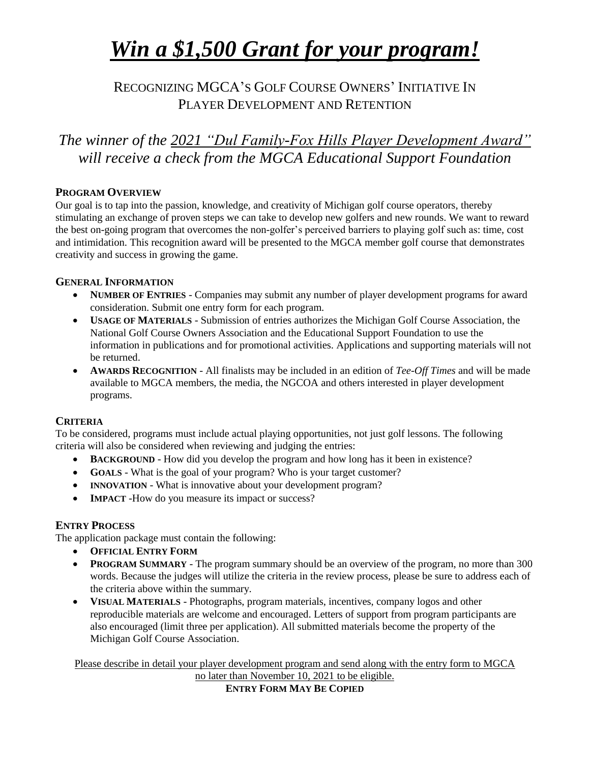# *Win a \$1,500 Grant for your program!*

### RECOGNIZING MGCA'S GOLF COURSE OWNERS' INITIATIVE IN PLAYER DEVELOPMENT AND RETENTION

### *The winner of the 2021 "Dul Family-Fox Hills Player Development Award" will receive a check from the MGCA Educational Support Foundation*

#### **PROGRAM OVERVIEW**

Our goal is to tap into the passion, knowledge, and creativity of Michigan golf course operators, thereby stimulating an exchange of proven steps we can take to develop new golfers and new rounds. We want to reward the best on-going program that overcomes the non-golfer's perceived barriers to playing golf such as: time, cost and intimidation. This recognition award will be presented to the MGCA member golf course that demonstrates creativity and success in growing the game.

#### **GENERAL INFORMATION**

- **NUMBER OF ENTRIES** Companies may submit any number of player development programs for award consideration. Submit one entry form for each program.
- **USAGE OF MATERIALS** Submission of entries authorizes the Michigan Golf Course Association, the National Golf Course Owners Association and the Educational Support Foundation to use the information in publications and for promotional activities. Applications and supporting materials will not be returned.
- **AWARDS RECOGNITION** All finalists may be included in an edition of *Tee-Off Times* and will be made available to MGCA members, the media, the NGCOA and others interested in player development programs.

#### **CRITERIA**

To be considered, programs must include actual playing opportunities, not just golf lessons. The following criteria will also be considered when reviewing and judging the entries:

- **BACKGROUND** How did you develop the program and how long has it been in existence?
- **GOALS** What is the goal of your program? Who is your target customer?
- **INNOVATION** What is innovative about your development program?
- **IMPACT** -How do you measure its impact or success?

#### **ENTRY PROCESS**

The application package must contain the following:

- **OFFICIAL ENTRY FORM**
- **PROGRAM SUMMARY** The program summary should be an overview of the program, no more than 300 words. Because the judges will utilize the criteria in the review process, please be sure to address each of the criteria above within the summary.
- **VISUAL MATERIALS** Photographs, program materials, incentives, company logos and other reproducible materials are welcome and encouraged. Letters of support from program participants are also encouraged (limit three per application). All submitted materials become the property of the Michigan Golf Course Association.

Please describe in detail your player development program and send along with the entry form to MGCA

no later than November 10, 2021 to be eligible. **ENTRY FORM MAY BE COPIED**